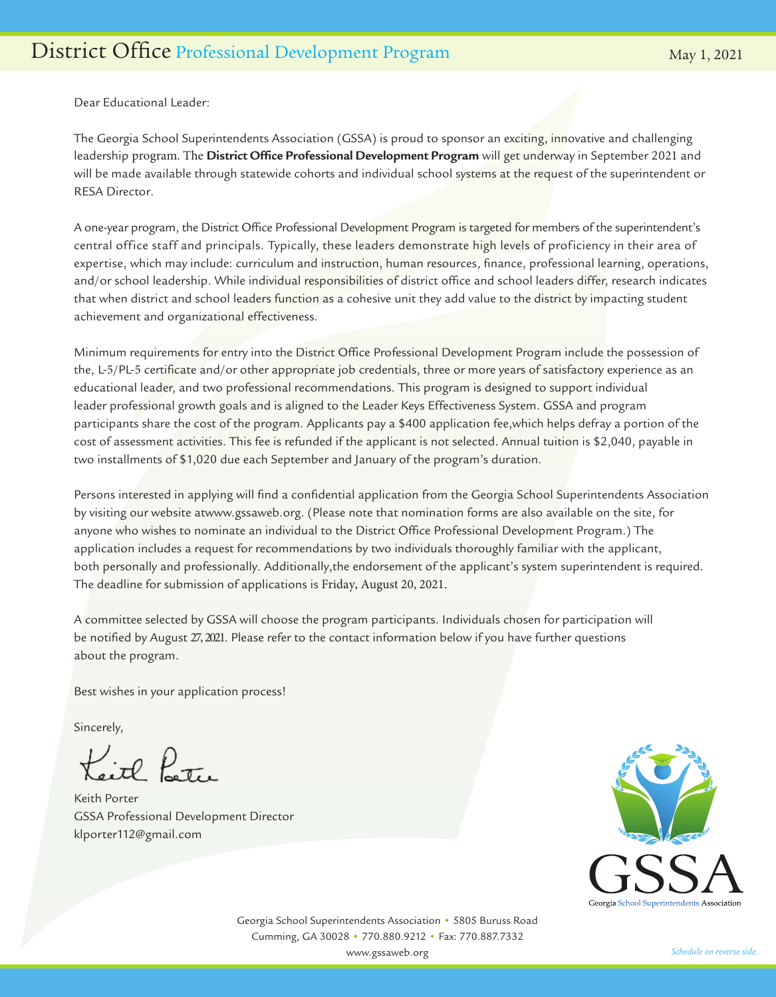Dear Educational Leader:

The Georgia School Superintendents Association (GSSA) is proud to sponsor an exciting, innovative and challenging leadership program. The **District Office Professional Development Program** will get underway in September 2021 and will be made available through statewide cohorts and individual school systems at the request of the superintendent or RESA Director.

A one-year program, the District Office Professional Development Program is targeted for members of the superintendent's central office staff and principals. Typically, these leaders demonstrate high levels of proficiency in their area of expertise, which may include: curriculum and instruction, human resources, finance, professional learning, operations, and/or school leadership. While individual responsibilities of district office and school leaders differ, research indicates that when district and school leaders function as a cohesive unit they add value to the district by impacting student achievement and organizational effectiveness.

Minimum requirements for entry into the District Office Professional Development Program include the possession of the, L-5/PL-5 certificate and/or other appropriate job credentials, three or more years of satisfactory experience as an educational leader, and two professional recommendations. This program is designed to support individual leader professional growth goals and is aligned to the Leader Keys Effectiveness System. GSSA and program participants share the cost of the program. Applicants pay a \$400 application fee,which helps defray a portion of the cost of assessment activities. This fee is refunded if the applicant is not selected. Annual tuition is \$2,040, payable in two installments of \$1,020 due each September and January of the program's duration.

Persons interested in applying will find a confidential application from the Georgia School Superintendents Association by visiting our website atwww.gssaweb.org. (Please note that nomination forms are also available on the site, for anyone who wishes to nominate an individual to the District Office Professional Development Program.) The application includes a request for recommendations by two individuals thoroughly familiar with the applicant, both personally and professionally. Additionally,the endorsement of the applicant's system superintendent is required. The deadline for submission of applications is Friday, August 20, 2021.

A committee selected by GSSA will choose the program participants. Individuals chosen for participation will be notified by August 27, 2021. Please refer to the contact information below if you have further questions about the program.

Best wishes in your application process!

Sincerely,

Keith Poster

Keith Porter GSSA Professional Development Director klporter112@gmail.com



Georgia School Superintendents Association • 5805 Buruss Road Cumming, GA 30028 • 770.880.9212 • Fax: 770.887.7332